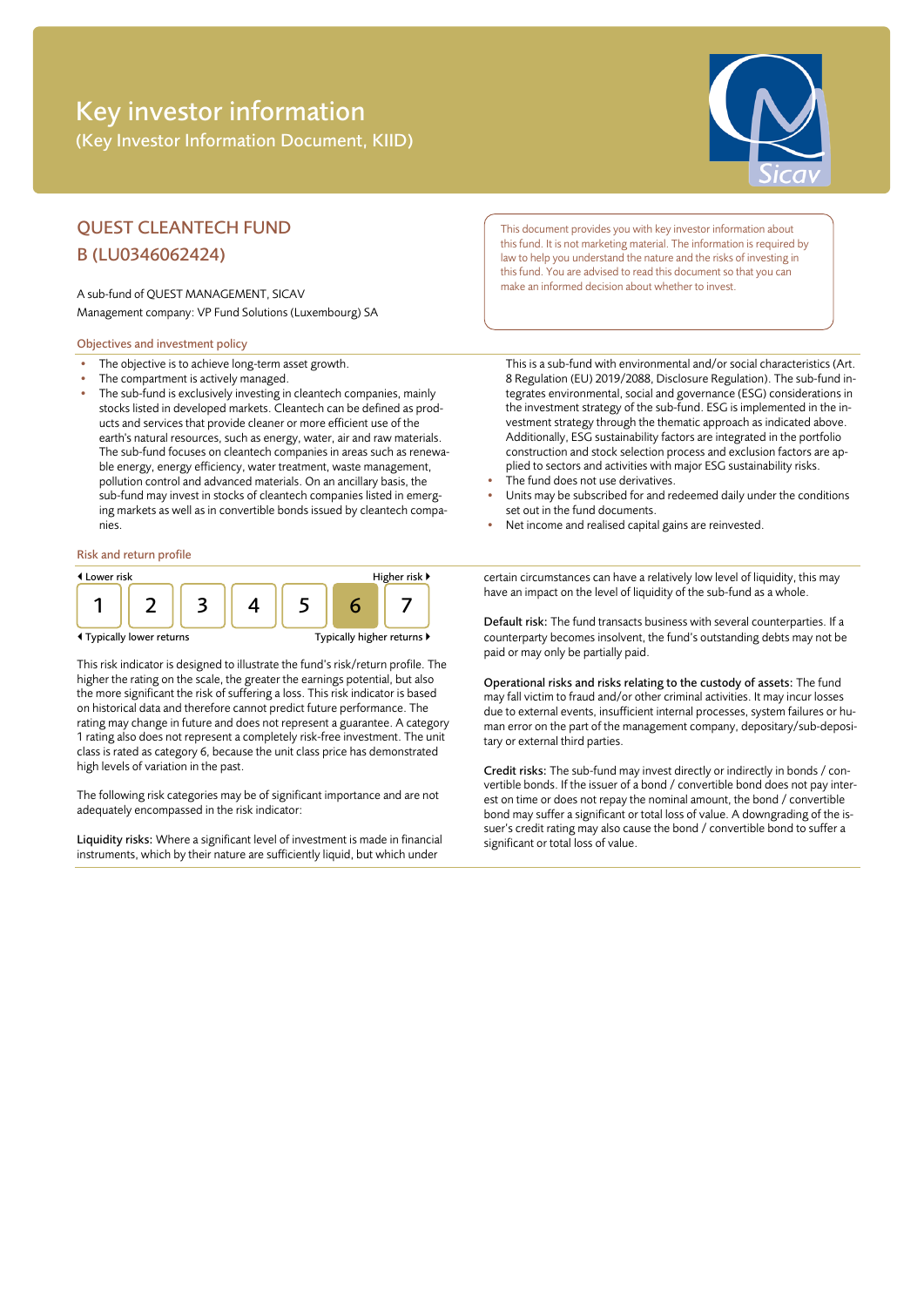# Key investor information (Key Investor Information Document, KIID)



## QUEST CLEANTECH FUND B (LU0346062424)

A sub-fund of QUEST MANAGEMENT, SICAV Management company: VP Fund Solutions (Luxembourg) SA

### Objectives and investment policy

- The objective is to achieve long-term asset growth.
- The compartment is actively managed.
- The sub-fund is exclusively investing in cleantech companies, mainly stocks listed in developed markets. Cleantech can be defined as products and services that provide cleaner or more efficient use of the earth's natural resources, such as energy, water, air and raw materials. The sub-fund focuses on cleantech companies in areas such as renewable energy, energy efficiency, water treatment, waste management, pollution control and advanced materials. On an ancillary basis, the sub-fund may invest in stocks of cleantech companies listed in emerging markets as well as in convertible bonds issued by cleantech companies.

#### Risk and return profile



This risk indicator is designed to illustrate the fund's risk/return profile. The higher the rating on the scale, the greater the earnings potential, but also the more significant the risk of suffering a loss. This risk indicator is based on historical data and therefore cannot predict future performance. The rating may change in future and does not represent a guarantee. A category 1 rating also does not represent a completely risk-free investment. The unit class is rated as category 6, because the unit class price has demonstrated high levels of variation in the past.

The following risk categories may be of significant importance and are not adequately encompassed in the risk indicator:

Liquidity risks: Where a significant level of investment is made in financial instruments, which by their nature are sufficiently liquid, but which under

This document provides you with key investor information about this fund. It is not marketing material. The information is required by law to help you understand the nature and the risks of investing in this fund. You are advised to read this document so that you can make an informed decision about whether to invest.

This is a sub-fund with environmental and/or social characteristics (Art. 8 Regulation (EU) 2019/2088, Disclosure Regulation). The sub-fund integrates environmental, social and governance (ESG) considerations in the investment strategy of the sub-fund. ESG is implemented in the investment strategy through the thematic approach as indicated above. Additionally, ESG sustainability factors are integrated in the portfolio construction and stock selection process and exclusion factors are applied to sectors and activities with major ESG sustainability risks.

- The fund does not use derivatives.
- Units may be subscribed for and redeemed daily under the conditions set out in the fund documents.
- Net income and realised capital gains are reinvested.

certain circumstances can have a relatively low level of liquidity, this may have an impact on the level of liquidity of the sub-fund as a whole.

Default risk: The fund transacts business with several counterparties. If a counterparty becomes insolvent, the fund's outstanding debts may not be paid or may only be partially paid.

Operational risks and risks relating to the custody of assets: The fund may fall victim to fraud and/or other criminal activities. It may incur losses due to external events, insufficient internal processes, system failures or human error on the part of the management company, depositary/sub-depositary or external third parties.

Credit risks: The sub-fund may invest directly or indirectly in bonds / convertible bonds. If the issuer of a bond / convertible bond does not pay interest on time or does not repay the nominal amount, the bond / convertible bond may suffer a significant or total loss of value. A downgrading of the issuer's credit rating may also cause the bond / convertible bond to suffer a significant or total loss of value.